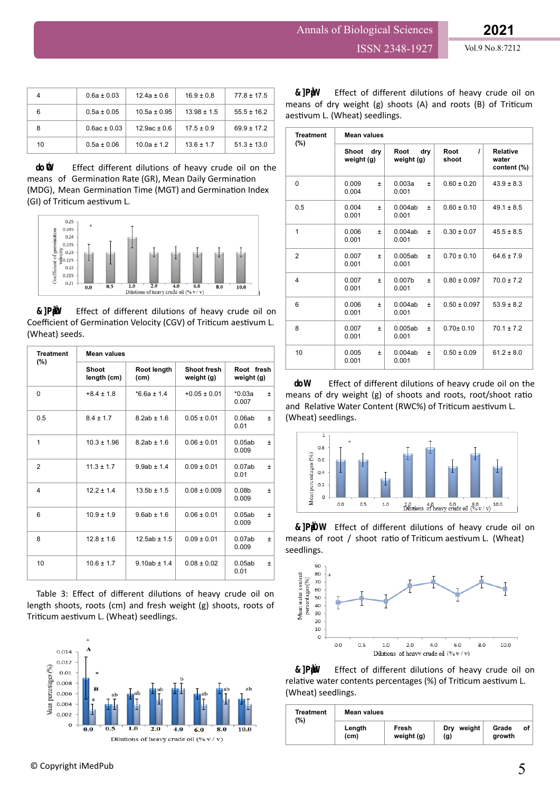|    | $0.6a \pm 0.03$  | $12.4a \pm 0.6$  | $16.9 \pm 0.8$  | $77.8 \pm 17.5$ |
|----|------------------|------------------|-----------------|-----------------|
| 6  | $0.5a \pm 0.05$  | $10.5a \pm 0.95$ | $13.98 \pm 1.5$ | $55.5 \pm 16.2$ |
|    | $0.6ac \pm 0.03$ | $12.9ac \pm 0.6$ | $17.5 \pm 0.9$  | $69.9 \pm 17.2$ |
| 10 | $0.5a \pm 0.06$  | $10.0a \pm 1.2$  | $13.6 \pm 1.7$  | $51.3 \pm 13.0$ |

Effect different dilutions of heavy crude oil on the means of Germination Rate (GR), Mean Daily Germination (MDG), Mean Germination Time (MGT) and Germination Index (GI) of Triticum aestivum L.



Figure 3: Effect of different dilutions of heavy crude oil on Coefficient of Germination Velocity (CGV) of Triticum aestivum L. (Wheat) seeds.

| <b>Treatment</b><br>$(\%)$ | <b>Mean values</b>   |                     |                           |                                     |  |
|----------------------------|----------------------|---------------------|---------------------------|-------------------------------------|--|
|                            | Shoot<br>length (cm) | Root length<br>(cm) | Shoot fresh<br>weight (g) | Root fresh<br>weight (g)            |  |
| $\Omega$                   | $+8.4 \pm 1.8$       | $*6.6a \pm 1.4$     | $+0.05 \pm 0.01$          | $*0.03a$<br>$\pm$<br>0.007          |  |
| 0.5                        | $8.4 \pm 1.7$        | $8.2ab \pm 1.6$     | $0.05 \pm 0.01$           | 0.06ab<br>$\pm$<br>0.01             |  |
| 1                          | $10.3 \pm 1.96$      | $8.2ab \pm 1.6$     | $0.06 \pm 0.01$           | 0.05ab<br>$\pm$<br>0.009            |  |
| $\overline{2}$             | $11.3 \pm 1.7$       | $9.9ab \pm 1.4$     | $0.09 \pm 0.01$           | 0.07ab<br>$\pm$<br>0.01             |  |
| 4                          | $12.2 \pm 1.4$       | $13.5b \pm 1.5$     | $0.08 \pm 0.009$          | 0.08 <sub>b</sub><br>$\pm$<br>0.009 |  |
| 6                          | $10.9 \pm 1.9$       | $9.6ab \pm 1.6$     | $0.06 \pm 0.01$           | 0.05ab<br>士<br>0.009                |  |
| 8                          | $12.8 \pm 1.6$       | $12.5ab \pm 1.5$    | $0.09 \pm 0.01$           | 0.07ab<br>$\pm$<br>0.009            |  |
| 10                         | $10.6 \pm 1.7$       | $9.10ab \pm 1.4$    | $0.08 \pm 0.02$           | 0.05ab<br>±<br>0.01                 |  |

Table 3: Effect of different dilutions of heavy crude oil on length shoots, roots (cm) and fresh weight (g) shoots, roots of Triticum aestivum L. (Wheat) seedlings.



| <b>Treatment</b><br>$(\%)$ | <b>Mean values</b>                |                                      |                           |                                         |  |
|----------------------------|-----------------------------------|--------------------------------------|---------------------------|-----------------------------------------|--|
|                            | <b>Shoot</b><br>drv<br>weight (g) | Root<br>drv<br>weight (g)            | $\prime$<br>Root<br>shoot | <b>Relative</b><br>water<br>content (%) |  |
| $\Omega$                   | 0.009<br>Ŧ<br>0.004               | 0.003a<br>$\pm$<br>0.001             | $0.60 \pm 0.20$           | $43.9 \pm 8.3$                          |  |
| 0.5                        | 0.004<br>±<br>0.001               | 0.004ab<br>$\pm$<br>0.001            | $0.60 \pm 0.10$           | $49.1 \pm 8.5$                          |  |
| $\mathbf{1}$               | 0.006<br>Ŧ<br>0.001               | 0.004ab<br>$\pm$<br>0.001            | $0.30 \pm 0.07$           | $45.5 \pm 8.5$                          |  |
| $\overline{2}$             | 0.007<br>Ŧ<br>0.001               | 0.005ab<br>$\pm$<br>0.001            | $0.70 \pm 0.10$           | $64.6 \pm 7.9$                          |  |
| 4                          | 0.007<br>Ŧ<br>0.001               | 0.007 <sub>b</sub><br>$\pm$<br>0.001 | $0.80 \pm 0.097$          | $70.0 \pm 7.2$                          |  |
| 6                          | 0.006<br>Ŧ<br>0.001               | 0.004ab<br>$\pm$<br>0.001            | $0.50 \pm 0.097$          | $53.9 \pm 8.2$                          |  |
| 8                          | 0.007<br>$\pm$<br>0.001           | 0.005ab<br>$\pm$<br>0.001            | $0.70 \pm 0.10$           | $70.1 \pm 7.2$                          |  |
| 10                         | 0.005<br>Ŧ<br>0.001               | 0.004ab<br>$\pm$<br>0.001            | $0.50 \pm 0.09$           | $61.2 \pm 8.0$                          |  |

Effect of different dilutions of heavy crude oil on the means of dry weight (g) of shoots and roots, root/shoot ratio and Relative Water Content (RWC%) of Triticum aestivum L. (Wheat) seedlings.



Figure 5: Effect of different dilutions of heavy crude oil on means of root / shoot ratio of Triticum aestivum L. (Wheat) seedlings.



Figure 6: Effect of different dilutions of heavy crude oil on relative water contents percentages (%) of Triticum aestivum L. (Wheat) seedlings.

| Treatment<br>(%) | <b>Mean values</b> |                     |                      |                 |    |
|------------------|--------------------|---------------------|----------------------|-----------------|----|
|                  | Length<br>(cm)     | Fresh<br>weight (g) | weight<br>Drv<br>(g) | Grade<br>growth | οf |

Figure 4: Effect of different dilutions of heavy crude oil on means of dry weight (g) shoots (A) and roots (B) of Triticum aestivum L. (Wheat) seedlings.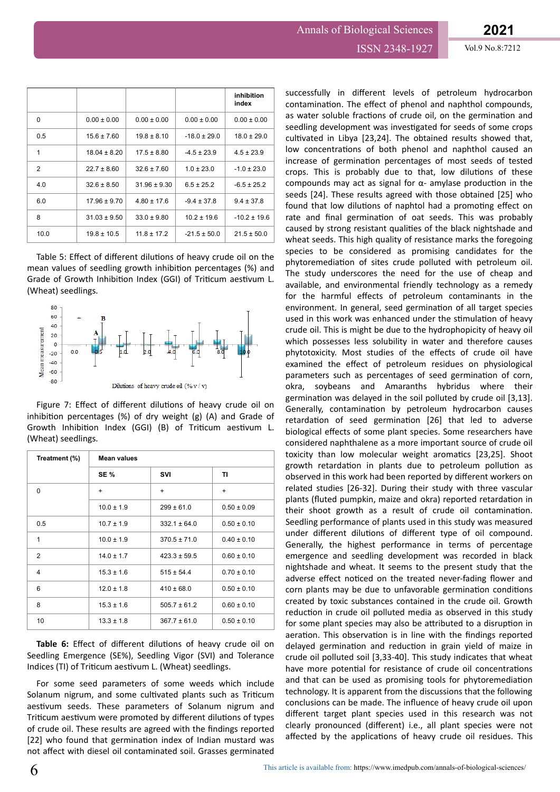## Annals of Biological Sciences ISSN 2348-1927 Vol.9 No.8:7212

|                |                  |                  |                  | inhibition<br>index |
|----------------|------------------|------------------|------------------|---------------------|
| $\Omega$       | $0.00 \pm 0.00$  | $0.00 \pm 0.00$  | $0.00 \pm 0.00$  | $0.00 \pm 0.00$     |
| 0.5            | $15.6 \pm 7.60$  | $19.8 \pm 8.10$  | $-18.0 \pm 29.0$ | $18.0 \pm 29.0$     |
| 1              | $18.04 \pm 8.20$ | $17.5 \pm 8.80$  | $-4.5 \pm 23.9$  | $4.5 \pm 23.9$      |
| $\mathfrak{p}$ | $22.7 \pm 8.60$  | $32.6 \pm 7.60$  | $1.0 \pm 23.0$   | $-1.0 \pm 23.0$     |
| 4.0            | $32.6 \pm 8.50$  | $31.96 \pm 9.30$ | $6.5 \pm 25.2$   | $-6.5 \pm 25.2$     |
| 6.0            | $17.96 \pm 9.70$ | $4.80 \pm 17.6$  | $-9.4 \pm 37.8$  | $9.4 \pm 37.8$      |
| 8              | $31.03 \pm 9.50$ | $33.0 \pm 9.80$  | $10.2 \pm 19.6$  | $-10.2 \pm 19.6$    |
| 10.0           | $19.8 \pm 10.5$  | $11.8 \pm 17.2$  | $-21.5 \pm 50.0$ | $21.5 \pm 50.0$     |

Table 5: Effect of different dilutions of heavy crude oil on the mean values of seedling growth inhibition percentages (%) and Grade of Growth Inhibition Index (GGI) of Triticum aestivum L. (Wheat) seedlings.



Figure 7: Effect of different dilutions of heavy crude oil on inhibition percentages (%) of dry weight (g) (A) and Grade of Growth Inhibition Index (GGI) (B) of Triticum aestivum L. (Wheat) seedlings.

| Treatment (%) | <b>Mean values</b> |                  |                 |  |
|---------------|--------------------|------------------|-----------------|--|
|               | <b>SE %</b>        | SVI              | ΤI              |  |
| $\Omega$      | $+$                | $\ddot{}$        | $\ddot{}$       |  |
|               | $10.0 \pm 1.9$     | $299 \pm 61.0$   | $0.50 \pm 0.09$ |  |
| 0.5           | $10.7 \pm 1.9$     | $332.1 \pm 64.0$ | $0.50 \pm 0.10$ |  |
| 1             | $10.0 \pm 1.9$     | $370.5 \pm 71.0$ | $0.40 \pm 0.10$ |  |
| 2             | $14.0 \pm 1.7$     | $423.3 \pm 59.5$ | $0.60 \pm 0.10$ |  |
| 4             | $15.3 \pm 1.6$     | $515 \pm 54.4$   | $0.70 \pm 0.10$ |  |
| 6             | $12.0 \pm 1.8$     | $410 \pm 68.0$   | $0.50 \pm 0.10$ |  |
| 8             | $15.3 \pm 1.6$     | $505.7 \pm 61.2$ | $0.60 \pm 0.10$ |  |
| 10            | $13.3 \pm 1.8$     | $367.7 \pm 61.0$ | $0.50 \pm 0.10$ |  |

Table 6: Effect of different dilutions of heavy crude oil on Seedling Emergence (SE%), Seedling Vigor (SVI) and Tolerance Indices (TI) of Triticum aestivum L. (Wheat) seedlings.

For some seed parameters of some weeds which include Solanum nigrum, and some cultivated plants such as Triticum aestivum seeds. These parameters of Solanum nigrum and Triticum aestivum were promoted by different dilutions of types of crude oil. These results are agreed with the findings reported [22] who found that germination index of Indian mustard was not affect with diesel oil contaminated soil. Grasses germinated

successfully in different levels of petroleum hydrocarbon contamination. The effect of phenol and naphthol compounds, as water soluble fractions of crude oil, on the germination and seedling development was investigated for seeds of some crops cultivated in Libya [23,24]. The obtained results showed that, low concentrations of both phenol and naphthol caused an increase of germination percentages of most seeds of tested crops. This is probably due to that, low dilutions of these compounds may act as signal for  $\alpha$ - amylase production in the seeds [24]. These results agreed with those obtained [25] who found that low dilutions of naphtol had a promoting effect on rate and final germination of oat seeds. This was probably caused by strong resistant qualities of the black nightshade and wheat seeds. This high quality of resistance marks the foregoing species to be considered as promising candidates for the phytoremediation of sites crude polluted with petroleum oil. The study underscores the need for the use of cheap and available, and environmental friendly technology as a remedy for the harmful effects of petroleum contaminants in the environment. In general, seed germination of all target species used in this work was enhanced under the stimulation of heavy crude oil. This is might be due to the hydrophopicity of heavy oil which possesses less solubility in water and therefore causes phytotoxicity. Most studies of the effects of crude oil have examined the effect of petroleum residues on physiological parameters such as percentages of seed germination of corn, okra, soybeans and Amaranths hybridus where their germination was delayed in the soil polluted by crude oil [3,13]. Generally, contamination by petroleum hydrocarbon causes retardation of seed germination [26] that led to adverse biological effects of some plant species. Some researchers have considered naphthalene as a more important source of crude oil toxicity than low molecular weight aromatics [23,25]. Shoot growth retardation in plants due to petroleum pollution as observed in this work had been reported by different workers on related studies [26-32]. During their study with three vascular plants (fluted pumpkin, maize and okra) reported retardation in their shoot growth as a result of crude oil contamination. Seedling performance of plants used in this study was measured under different dilutions of different type of oil compound. Generally, the highest performance in terms of percentage emergence and seedling development was recorded in black nightshade and wheat. It seems to the present study that the adverse effect noticed on the treated never-fading flower and corn plants may be due to unfavorable germination conditions created by toxic substances contained in the crude oil. Growth reduction in crude oil polluted media as observed in this study for some plant species may also be attributed to a disruption in aeration. This observation is in line with the findings reported delayed germination and reduction in grain yield of maize in crude oil polluted soil [3,33-40]. This study indicates that wheat have more potential for resistance of crude oil concentrations and that can be used as promising tools for phytoremediation technology. It is apparent from the discussions that the following conclusions can be made. The influence of heavy crude oil upon different target plant species used in this research was not clearly pronounced (different) i.e., all plant species were not affected by the applications of heavy crude oil residues. This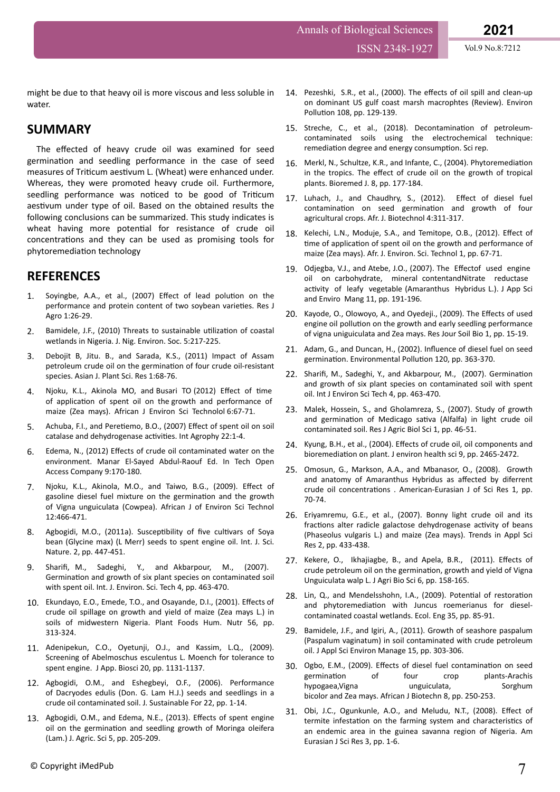ISSN 2348-1927 Vol.9 No.8:7212

might be due to that heavy oil is more viscous and less soluble in water.

## **SUMMARY**

The effected of heavy crude oil was examined for seed germination and seedling performance in the case of seed measures of Triticum aestivum L. (Wheat) were enhanced under. Whereas, they were promoted heavy crude oil. Furthermore, seedling performance was noticed to be good of Triticum aestivum under type of oil. Based on the obtained results the following conclusions can be summarized. This study indicates is wheat having more potential for resistance of crude oil concentrations and they can be used as promising tools for phytoremediation technology

## **REFERENCES**

- 1. [Soyingbe, A.A., et al., \(2007\)](https://medwelljournals.com/abstract/?doi=rjagr.2007.26.29) Effect of lead polution on the [performance and protein content of two soybean](https://medwelljournals.com/abstract/?doi=rjagr.2007.26.29) varieties. Res J [Agro 1:26-29.](https://medwelljournals.com/abstract/?doi=rjagr.2007.26.29)
- 2. [Bamidele, J.F., \(2010\) Threats to sustainable](https://www.researchgate.net/publication/301486676_Threats_to_coastal_wetlands_in_Nigeria) utilization of coastal [wetlands in Nigeria. J. Nig. Environ. Soc. 5:217-225.](https://www.researchgate.net/publication/301486676_Threats_to_coastal_wetlands_in_Nigeria)
- 3. [Debojit B, Jitu. B., and Sarada, K.S., \(2011\) Impact of Assam](https://www.imedpub.com/articles/impact-of-assam-petroleum-crude-oil-on-the-germination-of-four-crude-oil-resistant-species.pdf) [petroleum crude oil on the](https://www.imedpub.com/articles/impact-of-assam-petroleum-crude-oil-on-the-germination-of-four-crude-oil-resistant-species.pdf) germination of four crude oil-resistant [species. Asian J. Plant Sci. Res 1:68-76.](https://www.imedpub.com/articles/impact-of-assam-petroleum-crude-oil-on-the-germination-of-four-crude-oil-resistant-species.pdf)
- 4. [Njoku, K.L., Akinola MO, and Busari TO \(2012\)](https://www.ajol.info/index.php/ajest/article/view/134963) Effect of time of application [of spent oil on the growth and performance of](https://www.ajol.info/index.php/ajest/article/view/134963) [maize \(Zea mays\). African J Environ Sci Technolol 6:67-71.](https://www.ajol.info/index.php/ajest/article/view/134963)
- 5. Achuba, F.I., and Peretiemo, B.O., (2007) Effect [of spent oil on soil](http://www.international-agrophysics.org/Effect-of-spent-engine-oil-on-soil-catalase-and-dehydrogenase-activities,106464,0,2.html) [catalase and dehydrogenase](http://www.international-agrophysics.org/Effect-of-spent-engine-oil-on-soil-catalase-and-dehydrogenase-activities,106464,0,2.html) activities. Int Agrophy 22:1-4.
- 6. Edema, N., (2012) Effects [of crude oil contaminated water on the](https://www.intechopen.com/books/crude-oil-emulsions-composition-stability-and-characterization/biological-effects-of-water-soluble-fraction-of-crude-oil-on-aquatic-environment) [environment. Manar El-Sayed Abdul-Raouf Ed. In Tech Open](https://www.intechopen.com/books/crude-oil-emulsions-composition-stability-and-characterization/biological-effects-of-water-soluble-fraction-of-crude-oil-on-aquatic-environment) [Access Company 9:170-180.](https://www.intechopen.com/books/crude-oil-emulsions-composition-stability-and-characterization/biological-effects-of-water-soluble-fraction-of-crude-oil-on-aquatic-environment)
- 7. [Njoku, K.L., Akinola, M.O., and Taiwo, B.G., \(2009\).](https://www.researchgate.net/publication/313205125_Effect_of_gasoline_diesel_fuel_mixture_on_the_germination_and_the_growth_of_Vigna_unguiculata_Cowpea) Effect of [gasoline diesel fuel mixture on the](https://www.researchgate.net/publication/313205125_Effect_of_gasoline_diesel_fuel_mixture_on_the_germination_and_the_growth_of_Vigna_unguiculata_Cowpea) germination and the growth [of Vigna unguiculata \(Cowpea\). African J of Environ Sci Technol](https://www.researchgate.net/publication/313205125_Effect_of_gasoline_diesel_fuel_mixture_on_the_germination_and_the_growth_of_Vigna_unguiculata_Cowpea) [12:466-471.](https://www.researchgate.net/publication/313205125_Effect_of_gasoline_diesel_fuel_mixture_on_the_germination_and_the_growth_of_Vigna_unguiculata_Cowpea)
- 8. [Agbogidi, M.O., \(2011a\).](http://scienceandnature.org/IJSN/IJSN_Vol2(3)S2011/IJSN-VOL2(3)-1.pdf) Susceptibility of five cultivars of Soya [bean \(Glycine max\) \(L Merr\) seeds to spent engine oil. Int. J. Sci.](http://scienceandnature.org/IJSN/IJSN_Vol2(3)S2011/IJSN-VOL2(3)-1.pdf) [Nature. 2, pp. 447-451.](http://scienceandnature.org/IJSN/IJSN_Vol2(3)S2011/IJSN-VOL2(3)-1.pdf)
- 9. Sharifi, [M., Sadeghi, Y., and Akbarpour, M., \(2007\).](https://link.springer.com/article/10.1007/BF03325982) Germination [and growth of six plant species on contaminated soil](https://link.springer.com/article/10.1007/BF03325982) [with spent oil. Int. J. Environ. Sci. Tech 4, pp. 463-470.](https://link.springer.com/article/10.1007/BF03325982)
- 10. [Ekundayo, E.O., Emede, T.O., and Osayande, D.I., \(2001\).](https://link.springer.com/article/10.1023/A:1011806706658) Effects of [crude oil spillage on growth and yield of maize \(Zea mays L.\) in](https://link.springer.com/article/10.1023/A:1011806706658) [soils of midwestern Nigeria. Plant Foods Hum. Nutr 56, pp.](https://link.springer.com/article/10.1023/A:1011806706658) [313-324.](https://link.springer.com/article/10.1023/A:1011806706658)
- 11. [Adenipekun, C.O., Oyetunji, O.J., and Kassim, L.Q., \(2009\).](https://link.springer.com/article/10.1023/A:1011806706658) [Screening of Abelmoschus esculentus L. Moench for tolerance to](https://link.springer.com/article/10.1023/A:1011806706658) [spent engine. J App. Biosci 20, pp. 1131-1137.](https://link.springer.com/article/10.1023/A:1011806706658)
- 12. [Agbogidi, O.M., and Eshegbeyi, O.F., \(2006\). Performance](https://www.tandfonline.com/doi/abs/10.1300/J091v22n03_01.) [of Dacryodes edulis \(Don. G. Lam H.J.\) seeds and seedlings in a](https://www.tandfonline.com/doi/abs/10.1300/J091v22n03_01.) [crude oil contaminated soil. J. Sustainable For 22, pp. 1-14.](https://www.tandfonline.com/doi/abs/10.1300/J091v22n03_01.)
- 13. [Agbogidi, O.M., and Edema, N.E., \(2013\).](http://www.scholarly-journals.com/sjas/archive/2013/may/pdf/Agbogidi%20and%20Ilondu.pdf) Effects of spent engine oil on the germination [and seedling growth of Moringa oleifera](http://www.scholarly-journals.com/sjas/archive/2013/may/pdf/Agbogidi%20and%20Ilondu.pdf) [\(Lam.\) J. Agric. Sci 5, pp. 205-209.](http://www.scholarly-journals.com/sjas/archive/2013/may/pdf/Agbogidi%20and%20Ilondu.pdf)
- 14. [Pezeshki, S.R., et al., \(2000\). The](http://www.rnr.lsu.edu/people/nyman/oilspill/oilspillpubs/PezeshkiEnvironmental%20Pollution%20108%20(2000).pdf) effects of oil spill and clean-up [on dominant US gulf coast marsh macrophtes \(Review\). Environ](http://www.rnr.lsu.edu/people/nyman/oilspill/oilspillpubs/PezeshkiEnvironmental%20Pollution%20108%20(2000).pdf) Pollution [108, pp. 129-139.](http://www.rnr.lsu.edu/people/nyman/oilspill/oilspillpubs/PezeshkiEnvironmental%20Pollution%20108%20(2000).pdf)
- 15. [Streche, C., et al., \(2018\).](https://www.nature.com/articles/s41598-018-21606-4) Decontamination of petroleum[contaminated soils using the electrochemical technique:](https://www.nature.com/articles/s41598-018-21606-4) remediation [degree and energy](https://www.nature.com/articles/s41598-018-21606-4) consumption. Sci rep.
- 16. [Merkl, N., Schultze, K.R., and Infante, C., \(2004\).](https://www.tandfonline.com/doi/abs/10.1080/10889860490887527) Phytoremediation in the tropics. The effect [of crude oil on the growth of tropical](https://www.tandfonline.com/doi/abs/10.1080/10889860490887527) [plants. Bioremed J. 8, pp. 177-184.](https://www.tandfonline.com/doi/abs/10.1080/10889860490887527)
- 17. [Luhach, J., and Chaudhry, S., \(2012\).](https://www.environmentaljournal.org/2-4/ujert-2-4-18.pdf) Effect of diesel fuel contamination on seed germination [and growth of four](https://www.environmentaljournal.org/2-4/ujert-2-4-18.pdf) [agricultural crops. Afr. J. Biotechnol 4:311-317.](https://www.environmentaljournal.org/2-4/ujert-2-4-18.pdf)
- 18. [Kelechi, L.N., Moduje, S.A., and Temitope, O.B., \(2012\).](https://www.ajol.info/index.php/ajest/article/view/134963) Effect of time of application [of spent oil on the growth and performance of](https://www.ajol.info/index.php/ajest/article/view/134963) [maize \(Zea mays\). Afr. J. Environ. Sci. Technol 1, pp. 67-71.](https://www.ajol.info/index.php/ajest/article/view/134963)
- 19. [Odjegba, V.J., and Atebe, J.O., \(2007\). The](https://www.ajol.info/index.php/jasem/article/view/55039) Effectof used engine [oil on carbohydrate, mineral contentandNitrate reductase](https://www.ajol.info/index.php/jasem/article/view/55039) activity [of leafy vegetable \(Amaranthus Hybridus L.\). J App Sci](https://www.ajol.info/index.php/jasem/article/view/55039) [and Enviro Mang 11, pp. 191-196.](https://www.ajol.info/index.php/jasem/article/view/55039)
- 20. [Kayode, O., Olowoyo, A., and Oyedeji., \(2009\). The](https://scialert.net/fulltext/?doi=rjsb.2009.15.19) Effects of used engine oil pollution [on the growth and early seedling performance](https://scialert.net/fulltext/?doi=rjsb.2009.15.19) [of vigna uniguiculata and Zea mays. Res Jour Soil Bio 1, pp. 15-19.](https://scialert.net/fulltext/?doi=rjsb.2009.15.19)
- 21. [Adam, G., and Duncan, H., \(2002\).](https://pubmed.ncbi.nlm.nih.gov/12395850/) Influence of diesel fuel on seed germination. Environmental Pollution [120, pp. 363-370.](https://pubmed.ncbi.nlm.nih.gov/12395850/)
- 22. Sharifi, [M., Sadeghi, Y., and Akbarpour, M., \(2007\).](https://link.springer.com/article/10.1007/BF03325982) Germination [and growth of six plant species on contaminated soil with spent](https://link.springer.com/article/10.1007/BF03325982) [oil. Int J Environ Sci Tech 4, pp. 463-470.](https://link.springer.com/article/10.1007/BF03325982)
- 23. [Malek, Hossein, S., and Gholamreza, S., \(2007\). Study of growth](https://www.researchgate.net/publication/266499510_Study_of_growth_and_germination_of_Medicago_sativa_Alfalfa_in_light_crude_oil-contaminated_soil) and germination of Medicago sativa [\(Alfalfa\) in light crude oil](https://www.researchgate.net/publication/266499510_Study_of_growth_and_germination_of_Medicago_sativa_Alfalfa_in_light_crude_oil-contaminated_soil) [contaminated soil. Res J Agric Biol Sci 1, pp. 46-51.](https://www.researchgate.net/publication/266499510_Study_of_growth_and_germination_of_Medicago_sativa_Alfalfa_in_light_crude_oil-contaminated_soil)
- 24. Kyung, B.H., et al., (2004). Effects [of crude oil, oil components and](file:///C:/Users/Admin/Downloads/tandfonline.com/doi/abs/10.1081/ESE-200026309) bioremediation [on plant. J environ health sci 9, pp. 2465-2472.](file:///C:/Users/Admin/Downloads/tandfonline.com/doi/abs/10.1081/ESE-200026309)
- 25. [Omosun, G., Markson, A.A., and Mbanasor, O., \(2008\). Growth](https://www.researchgate.net/publication/215481865_Growth_and_anatomy_of_Amaranthus_hybridus_as_affected_by_different_crude_oil_concentrations) [and anatomy of Amaranthus Hybridus as](https://www.researchgate.net/publication/215481865_Growth_and_anatomy_of_Amaranthus_hybridus_as_affected_by_different_crude_oil_concentrations) affected by diferrent crude oil concentrations [. American-Eurasian J of Sci Res 1, pp.](https://www.researchgate.net/publication/215481865_Growth_and_anatomy_of_Amaranthus_hybridus_as_affected_by_different_crude_oil_concentrations) [70-74.](https://www.researchgate.net/publication/215481865_Growth_and_anatomy_of_Amaranthus_hybridus_as_affected_by_different_crude_oil_concentrations)
- 26. [Eriyamremu, G.E., et al., \(2007\). Bonny light crude oil and its](https://scialert.net/fulltext/?doi=tasr.2007.433.438) fractions [alter radicle galactose dehydrogenase](https://scialert.net/fulltext/?doi=tasr.2007.433.438) activity of beans [\(Phaseolus vulgaris L.\) and maize \(Zea mays\). Trends in Appl Sci](https://scialert.net/fulltext/?doi=tasr.2007.433.438) [Res 2, pp. 433-438.](https://scialert.net/fulltext/?doi=tasr.2007.433.438)
- 27. [Kekere, O., Ikhajiagbe, B., and Apela, B.R., \(2011\).](https://www.researchgate.net/publication/277308346_Effects_of_crude_petroleum_oil_on_the_germination_growth_and_yield_of_Vigna_unguiculata_Walp_L) Effects of [crude petroleum oil on the](https://www.researchgate.net/publication/277308346_Effects_of_crude_petroleum_oil_on_the_germination_growth_and_yield_of_Vigna_unguiculata_Walp_L) germination, growth and yield of Vigna [Unguiculata walp L. J Agri Bio Sci 6, pp. 158-165.](https://www.researchgate.net/publication/277308346_Effects_of_crude_petroleum_oil_on_the_germination_growth_and_yield_of_Vigna_unguiculata_Walp_L)
- 28. [Lin, Q., and Mendelsshohn, I.A., \(2009\).](https://www.cabdirect.org/cabdirect/abstract/20093031115) Potential of restoration and phytoremediation [with Juncus roemerianus for diesel](https://www.cabdirect.org/cabdirect/abstract/20093031115)[contaminated coastal wetlands. Ecol. Eng 35, pp. 85-91.](https://www.cabdirect.org/cabdirect/abstract/20093031115)
- 29. [Bamidele, J.F., and Igiri, A., \(2011\). Growth of seashore paspalum](https://www.ajol.info/index.php/jasem/article/view/68514/56592) [\(Paspalum vaginatum\) in soil contaminated with crude petroleum](https://www.ajol.info/index.php/jasem/article/view/68514/56592) [oil. J Appl Sci Environ Manage 15, pp. 303-306.](https://www.ajol.info/index.php/jasem/article/view/68514/56592)
- 30. [Ogbo, E.M., \(2009\).](file:///C:/Users/Admin/Downloads/ajol.info/index.php/ajb/article/view/59777) Effects of diesel fuel contamination on seed germination [of four crop plants-Arachis](file:///C:/Users/Admin/Downloads/ajol.info/index.php/ajb/article/view/59777) hypogaea, Vigna merupakan unguiculata, menumpakan semasa Sorghum [bicolor and Zea mays. African J Biotechn 8, pp. 250-253.](file:///C:/Users/Admin/Downloads/ajol.info/index.php/ajb/article/view/59777)
- 31. [Obi, J.C., Ogunkunle, A.O., and Meludu, N.T., \(2008\).](https://vdocuments.net/effect-of-termite-infestation-on-the-farming-system-characteristics-of-an-endemic.html) Effect of termite infestation [on the farming system and](https://vdocuments.net/effect-of-termite-infestation-on-the-farming-system-characteristics-of-an-endemic.html) characteristics of [an endemic area in the guinea savanna region of Nigeria. Am](https://vdocuments.net/effect-of-termite-infestation-on-the-farming-system-characteristics-of-an-endemic.html) [Eurasian J Sci Res 3, pp. 1-6.](https://vdocuments.net/effect-of-termite-infestation-on-the-farming-system-characteristics-of-an-endemic.html)